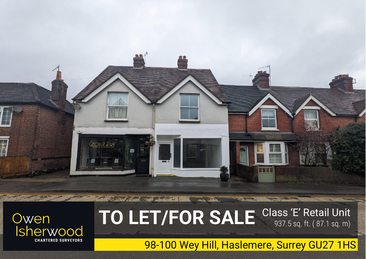

**Bandary Street** 



# Class 'E' Retail Unit 937.5 sq. ft. ( 87.1 sq. m) **TO LET/FOR SALE**

98-100 Wey Hill, Haslemere, Surrey GU27 1HS